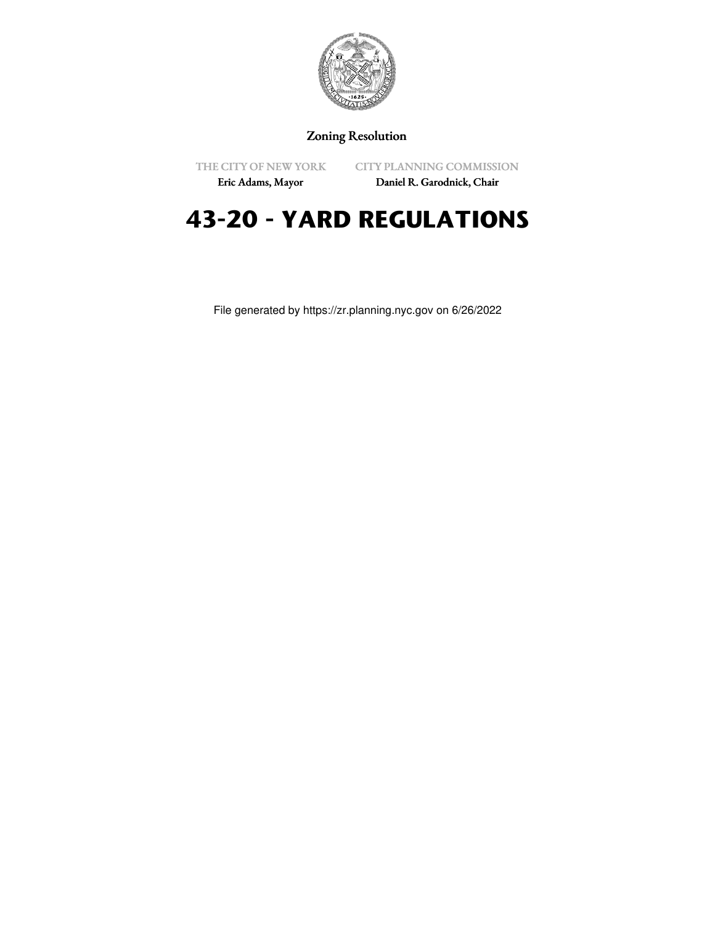

# Zoning Resolution

THE CITY OF NEW YORK

CITY PLANNING COMMISSION

Eric Adams, Mayor

Daniel R. Garodnick, Chair

# **43-20 - YARD REGULATIONS**

File generated by https://zr.planning.nyc.gov on 6/26/2022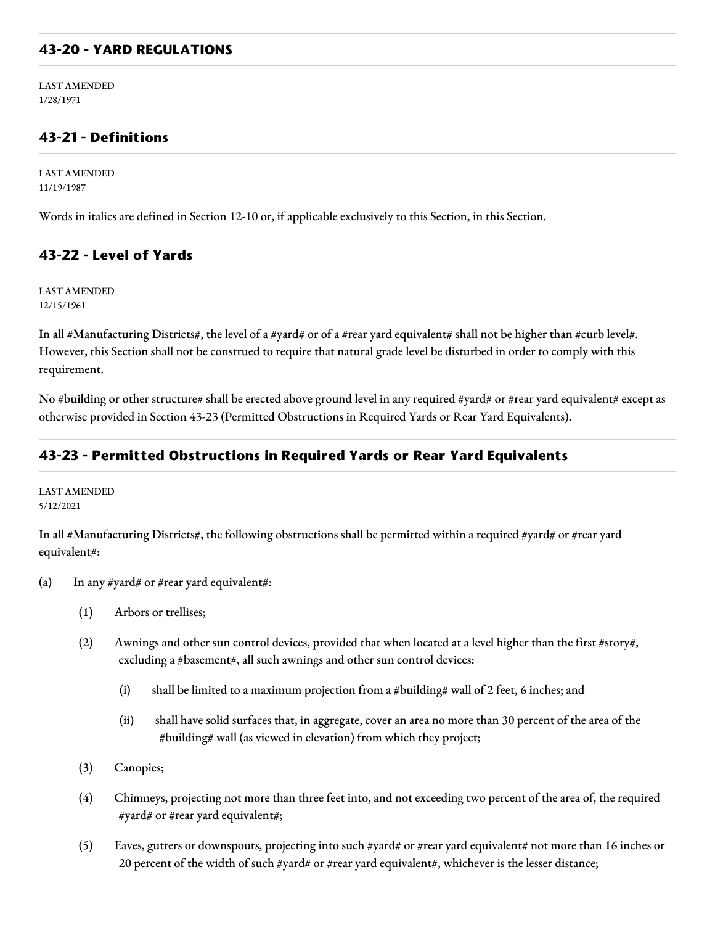## **43-20 - YARD REGULATIONS**

LAST AMENDED 1/28/1971

## **43-21 - Definitions**

LAST AMENDED 11/19/1987

Words in italics are defined in Section 12-10 or, if applicable exclusively to this Section, in this Section.

## **43-22 - Level of Yards**

LAST AMENDED 12/15/1961

In all #Manufacturing Districts#, the level of a #yard# or of a #rear yard equivalent# shall not be higher than #curb level#. However, this Section shall not be construed to require that natural grade level be disturbed in order to comply with this requirement.

No #building or other structure# shall be erected above ground level in any required #yard# or #rear yard equivalent# except as otherwise provided in Section 43-23 (Permitted Obstructions in Required Yards or Rear Yard Equivalents).

## **43-23 - Permitted Obstructions in Required Yards or Rear Yard Equivalents**

LAST AMENDED 5/12/2021

In all #Manufacturing Districts#, the following obstructions shall be permitted within a required #yard# or #rear yard equivalent#:

- (a) In any  $\# \text{grad} \#$  or  $\# \text{rear}$  yard equivalent#:
	- (1) Arbors or trellises;
	- (2) Awnings and other sun control devices, provided that when located at a level higher than the first #story#, excluding a #basement#, all such awnings and other sun control devices:
		- (i) shall be limited to a maximum projection from a #building# wall of 2 feet, 6 inches; and
		- (ii) shall have solid surfaces that, in aggregate, cover an area no more than 30 percent of the area of the #building# wall (as viewed in elevation) from which they project;
	- (3) Canopies;
	- (4) Chimneys, projecting not more than three feet into, and not exceeding two percent of the area of, the required #yard# or #rear yard equivalent#;
	- (5) Eaves, gutters or downspouts, projecting into such #yard# or #rear yard equivalent# not more than 16 inches or 20 percent of the width of such #yard# or #rear yard equivalent#, whichever is the lesser distance;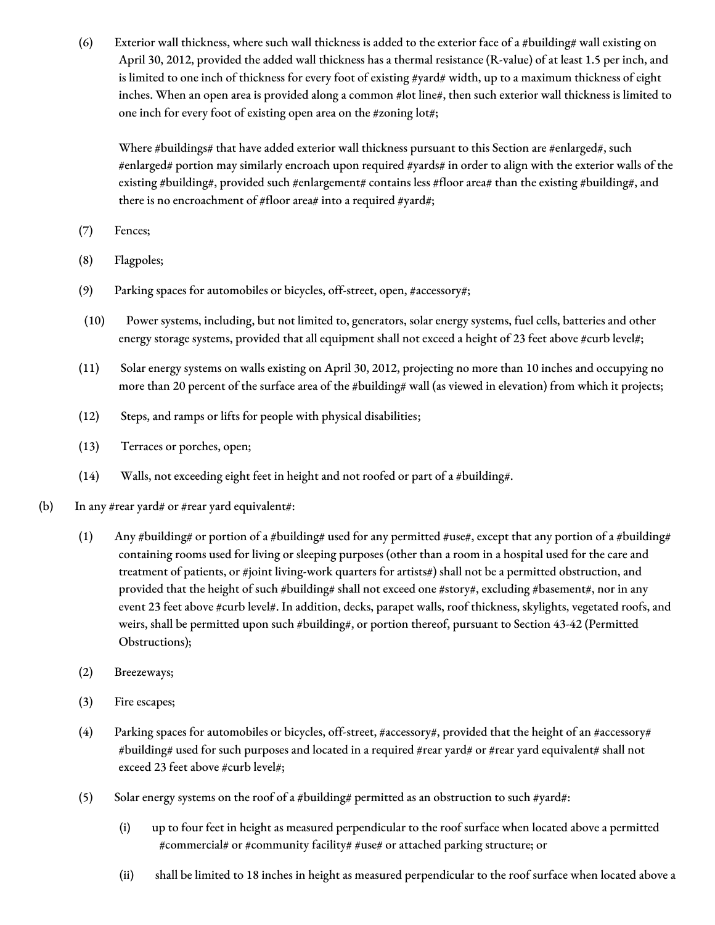(6) Exterior wall thickness, where such wall thickness is added to the exterior face of a #building# wall existing on April 30, 2012, provided the added wall thickness has a thermal resistance (R-value) of at least 1.5 per inch, and is limited to one inch of thickness for every foot of existing #yard# width, up to a maximum thickness of eight inches. When an open area is provided along a common #lot line#, then such exterior wall thickness is limited to one inch for every foot of existing open area on the #zoning lot#;

Where #buildings# that have added exterior wall thickness pursuant to this Section are #enlarged#, such #enlarged# portion may similarly encroach upon required #yards# in order to align with the exterior walls of the existing #building#, provided such #enlargement# contains less #floor area# than the existing #building#, and there is no encroachment of #floor area# into a required #yard#;

- (7) Fences;
- (8) Flagpoles;
- (9) Parking spaces for automobiles or bicycles, off-street, open, #accessory#;
- (10) Power systems, including, but not limited to, generators, solar energy systems, fuel cells, batteries and other energy storage systems, provided that all equipment shall not exceed a height of 23 feet above #curb level#;
- (11) Solar energy systems on walls existing on April 30, 2012, projecting no more than 10 inches and occupying no more than 20 percent of the surface area of the #building# wall (as viewed in elevation) from which it projects;
- (12) Steps, and ramps or lifts for people with physical disabilities;
- (13) Terraces or porches, open;
- (14) Walls, not exceeding eight feet in height and not roofed or part of a #building#.
- (b) In any #rear yard# or #rear yard equivalent#:
	- (1) Any #building# or portion of a #building# used for any permitted #use#, except that any portion of a #building# containing rooms used for living or sleeping purposes (other than a room in a hospital used for the care and treatment of patients, or #joint living-work quarters for artists#) shall not be a permitted obstruction, and provided that the height of such #building# shall not exceed one #story#, excluding #basement#, nor in any event 23 feet above #curb level#. In addition, decks, parapet walls, roof thickness, skylights, vegetated roofs, and weirs, shall be permitted upon such #building#, or portion thereof, pursuant to Section 43-42 (Permitted Obstructions);
	- (2) Breezeways;
	- (3) Fire escapes;
	- (4) Parking spaces for automobiles or bicycles, off-street, #accessory#, provided that the height of an #accessory# #building# used for such purposes and located in a required #rear yard# or #rear yard equivalent# shall not exceed 23 feet above #curb level#;
	- (5) Solar energy systems on the roof of a #building# permitted as an obstruction to such #yard#:
		- (i) up to four feet in height as measured perpendicular to the roof surface when located above a permitted #commercial# or #community facility# #use# or attached parking structure; or
		- (ii) shall be limited to 18 inches in height as measured perpendicular to the roof surface when located above a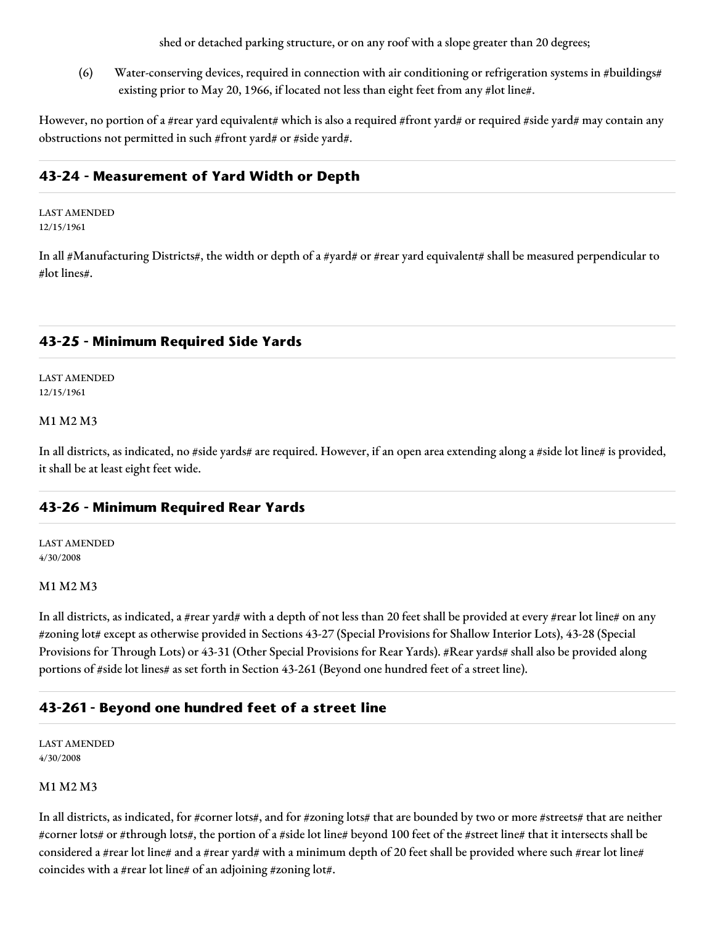shed or detached parking structure, or on any roof with a slope greater than 20 degrees;

(6) Water-conserving devices, required in connection with air conditioning or refrigeration systems in #buildings# existing prior to May 20, 1966, if located not less than eight feet from any #lot line#.

However, no portion of a #rear yard equivalent# which is also a required #front yard# or required #side yard# may contain any obstructions not permitted in such #front yard# or #side yard#.

## **43-24 - Measurement of Yard Width or Depth**

LAST AMENDED 12/15/1961

In all #Manufacturing Districts#, the width or depth of a #yard# or #rear yard equivalent# shall be measured perpendicular to #lot lines#.

## **43-25 - Minimum Required Side Yards**

LAST AMENDED 12/15/1961

#### M1 M2 M3

In all districts, as indicated, no #side yards# are required. However, if an open area extending along a #side lot line# is provided, it shall be at least eight feet wide.

## **43-26 - Minimum Required Rear Yards**

LAST AMENDED 4/30/2008

#### M1 M2 M3

In all districts, as indicated, a #rear yard# with a depth of not less than 20 feet shall be provided at every #rear lot line# on any #zoning lot# except as otherwise provided in Sections 43-27 (Special Provisions for Shallow Interior Lots), 43-28 (Special Provisions for Through Lots) or 43-31 (Other Special Provisions for Rear Yards). #Rear yards# shall also be provided along portions of #side lot lines# as set forth in Section 43-261 (Beyond one hundred feet of a street line).

## **43-261 - Beyond one hundred feet of a street line**

LAST AMENDED 4/30/2008

#### M1 M2 M3

In all districts, as indicated, for #corner lots#, and for #zoning lots# that are bounded by two or more #streets# that are neither #corner lots# or #through lots#, the portion of a #side lot line# beyond 100 feet of the #street line# that it intersects shall be considered a #rear lot line# and a #rear yard# with a minimum depth of 20 feet shall be provided where such #rear lot line# coincides with a #rear lot line# of an adjoining #zoning lot#.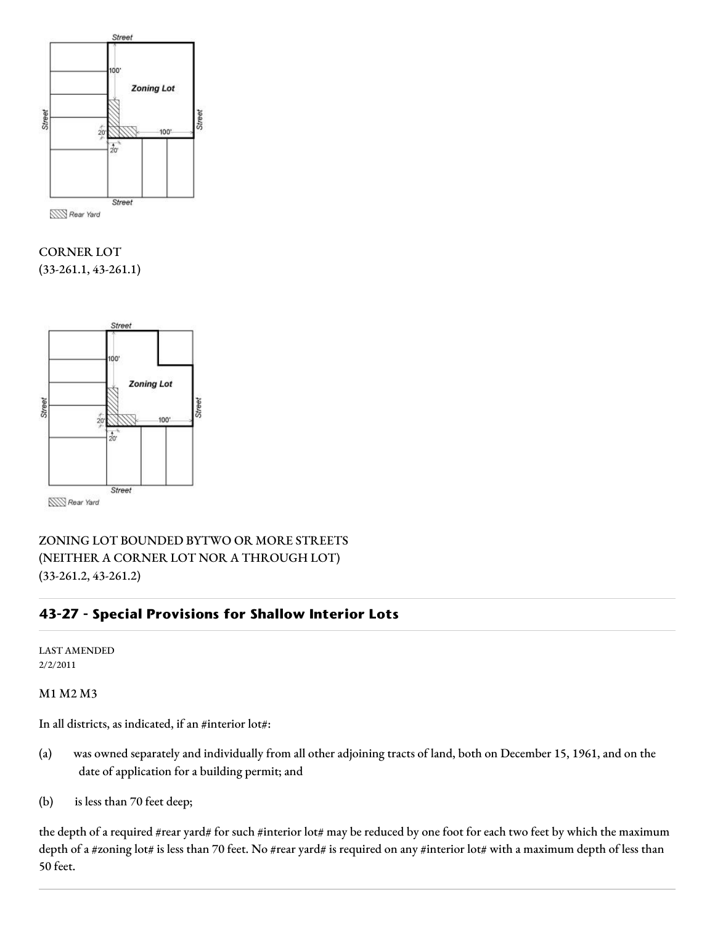

CORNER LOT (33-261.1, 43-261.1)



ZONING LOT BOUNDED BYTWO OR MORE STREETS (NEITHER A CORNER LOT NOR A THROUGH LOT) (33-261.2, 43-261.2)

# **43-27 - Special Provisions for Shallow Interior Lots**

LAST AMENDED 2/2/2011

#### M1 M2 M3

In all districts, as indicated, if an #interior lot#:

- (a) was owned separately and individually from all other adjoining tracts of land, both on December 15, 1961, and on the date of application for a building permit; and
- (b) is less than 70 feet deep;

the depth of a required #rear yard# for such #interior lot# may be reduced by one foot for each two feet by which the maximum depth of a #zoning lot# is less than 70 feet. No #rear yard# is required on any #interior lot# with a maximum depth of less than 50 feet.